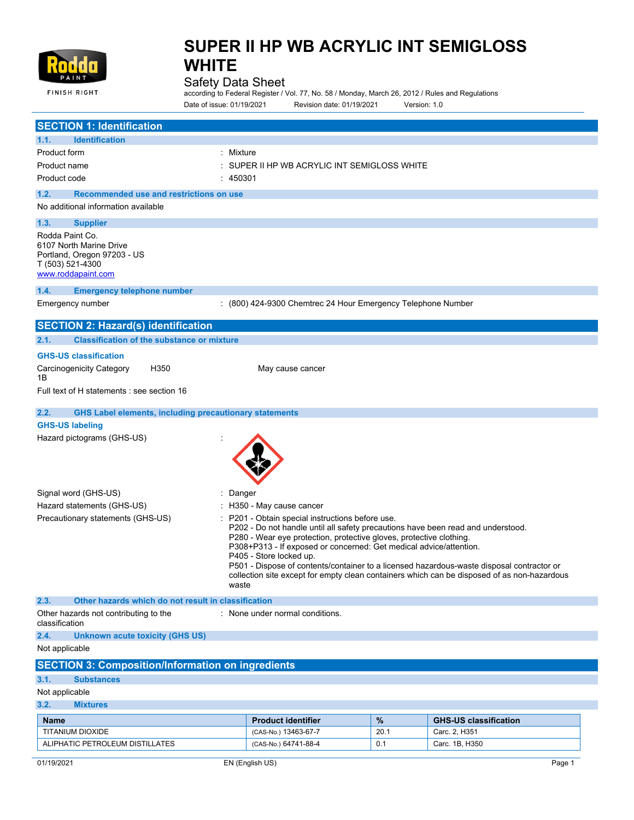

## Safety Data Sheet

according to Federal Register / Vol. 77, No. 58 / Monday, March 26, 2012 / Rules and Regulations Date of issue: 01/19/2021 Revision date: 01/19/2021 Version: 1.0

| <b>SECTION 1: Identification</b>                                                                                                                                                                                                                                                                                                                                                                                                                                                                                                                     |                                                              |                                            |                              |  |
|------------------------------------------------------------------------------------------------------------------------------------------------------------------------------------------------------------------------------------------------------------------------------------------------------------------------------------------------------------------------------------------------------------------------------------------------------------------------------------------------------------------------------------------------------|--------------------------------------------------------------|--------------------------------------------|------------------------------|--|
| 1.1.<br><b>Identification</b>                                                                                                                                                                                                                                                                                                                                                                                                                                                                                                                        |                                                              |                                            |                              |  |
| Product form                                                                                                                                                                                                                                                                                                                                                                                                                                                                                                                                         | Mixture                                                      |                                            |                              |  |
| Product name                                                                                                                                                                                                                                                                                                                                                                                                                                                                                                                                         |                                                              | SUPER II HP WB ACRYLIC INT SEMIGLOSS WHITE |                              |  |
| Product code                                                                                                                                                                                                                                                                                                                                                                                                                                                                                                                                         | : 450301                                                     |                                            |                              |  |
| 1.2.<br>Recommended use and restrictions on use                                                                                                                                                                                                                                                                                                                                                                                                                                                                                                      |                                                              |                                            |                              |  |
| No additional information available                                                                                                                                                                                                                                                                                                                                                                                                                                                                                                                  |                                                              |                                            |                              |  |
| 1.3.<br><b>Supplier</b>                                                                                                                                                                                                                                                                                                                                                                                                                                                                                                                              |                                                              |                                            |                              |  |
| Rodda Paint Co.                                                                                                                                                                                                                                                                                                                                                                                                                                                                                                                                      |                                                              |                                            |                              |  |
| 6107 North Marine Drive<br>Portland, Oregon 97203 - US<br>T (503) 521-4300<br>www.roddapaint.com                                                                                                                                                                                                                                                                                                                                                                                                                                                     |                                                              |                                            |                              |  |
| 1.4.<br><b>Emergency telephone number</b>                                                                                                                                                                                                                                                                                                                                                                                                                                                                                                            |                                                              |                                            |                              |  |
| Emergency number                                                                                                                                                                                                                                                                                                                                                                                                                                                                                                                                     | : (800) 424-9300 Chemtrec 24 Hour Emergency Telephone Number |                                            |                              |  |
|                                                                                                                                                                                                                                                                                                                                                                                                                                                                                                                                                      |                                                              |                                            |                              |  |
| <b>SECTION 2: Hazard(s) identification</b>                                                                                                                                                                                                                                                                                                                                                                                                                                                                                                           |                                                              |                                            |                              |  |
| <b>Classification of the substance or mixture</b><br>2.1.                                                                                                                                                                                                                                                                                                                                                                                                                                                                                            |                                                              |                                            |                              |  |
| <b>GHS-US classification</b>                                                                                                                                                                                                                                                                                                                                                                                                                                                                                                                         |                                                              |                                            |                              |  |
| Carcinogenicity Category<br>H350<br>1Β                                                                                                                                                                                                                                                                                                                                                                                                                                                                                                               | May cause cancer                                             |                                            |                              |  |
| Full text of H statements : see section 16                                                                                                                                                                                                                                                                                                                                                                                                                                                                                                           |                                                              |                                            |                              |  |
| <b>GHS Label elements, including precautionary statements</b><br>2.2.                                                                                                                                                                                                                                                                                                                                                                                                                                                                                |                                                              |                                            |                              |  |
| <b>GHS-US labeling</b>                                                                                                                                                                                                                                                                                                                                                                                                                                                                                                                               |                                                              |                                            |                              |  |
| Hazard pictograms (GHS-US)                                                                                                                                                                                                                                                                                                                                                                                                                                                                                                                           |                                                              |                                            |                              |  |
| Signal word (GHS-US)                                                                                                                                                                                                                                                                                                                                                                                                                                                                                                                                 | Danger                                                       |                                            |                              |  |
| Hazard statements (GHS-US)                                                                                                                                                                                                                                                                                                                                                                                                                                                                                                                           | H350 - May cause cancer                                      |                                            |                              |  |
|                                                                                                                                                                                                                                                                                                                                                                                                                                                                                                                                                      |                                                              |                                            |                              |  |
| P201 - Obtain special instructions before use.<br>Precautionary statements (GHS-US)<br>P202 - Do not handle until all safety precautions have been read and understood.<br>P280 - Wear eye protection, protective gloves, protective clothing.<br>P308+P313 - If exposed or concerned: Get medical advice/attention.<br>P405 - Store locked up.<br>P501 - Dispose of contents/container to a licensed hazardous-waste disposal contractor or<br>collection site except for empty clean containers which can be disposed of as non-hazardous<br>waste |                                                              |                                            |                              |  |
| 2.3.<br>Other hazards which do not result in classification                                                                                                                                                                                                                                                                                                                                                                                                                                                                                          |                                                              |                                            |                              |  |
| Other hazards not contributing to the<br>classification                                                                                                                                                                                                                                                                                                                                                                                                                                                                                              | : None under normal conditions.                              |                                            |                              |  |
| 2.4.<br><b>Unknown acute toxicity (GHS US)</b>                                                                                                                                                                                                                                                                                                                                                                                                                                                                                                       |                                                              |                                            |                              |  |
| Not applicable                                                                                                                                                                                                                                                                                                                                                                                                                                                                                                                                       |                                                              |                                            |                              |  |
| <b>SECTION 3: Composition/Information on ingredients</b>                                                                                                                                                                                                                                                                                                                                                                                                                                                                                             |                                                              |                                            |                              |  |
| 3.1.<br><b>Substances</b>                                                                                                                                                                                                                                                                                                                                                                                                                                                                                                                            |                                                              |                                            |                              |  |
| Not applicable                                                                                                                                                                                                                                                                                                                                                                                                                                                                                                                                       |                                                              |                                            |                              |  |
| 3.2.<br><b>Mixtures</b>                                                                                                                                                                                                                                                                                                                                                                                                                                                                                                                              |                                                              |                                            |                              |  |
| <b>Name</b>                                                                                                                                                                                                                                                                                                                                                                                                                                                                                                                                          | <b>Product identifier</b>                                    | %                                          | <b>GHS-US classification</b> |  |
| <b>TITANIUM DIOXIDE</b>                                                                                                                                                                                                                                                                                                                                                                                                                                                                                                                              | (CAS-No.) 13463-67-7                                         | 20.1                                       | Carc. 2, H351                |  |
| ALIPHATIC PETROLEUM DISTILLATES                                                                                                                                                                                                                                                                                                                                                                                                                                                                                                                      | (CAS-No.) 64741-88-4                                         | 0.1                                        | Carc. 1B, H350               |  |
|                                                                                                                                                                                                                                                                                                                                                                                                                                                                                                                                                      |                                                              |                                            |                              |  |
| 01/19/2021                                                                                                                                                                                                                                                                                                                                                                                                                                                                                                                                           | EN (English US)                                              |                                            | Page 1                       |  |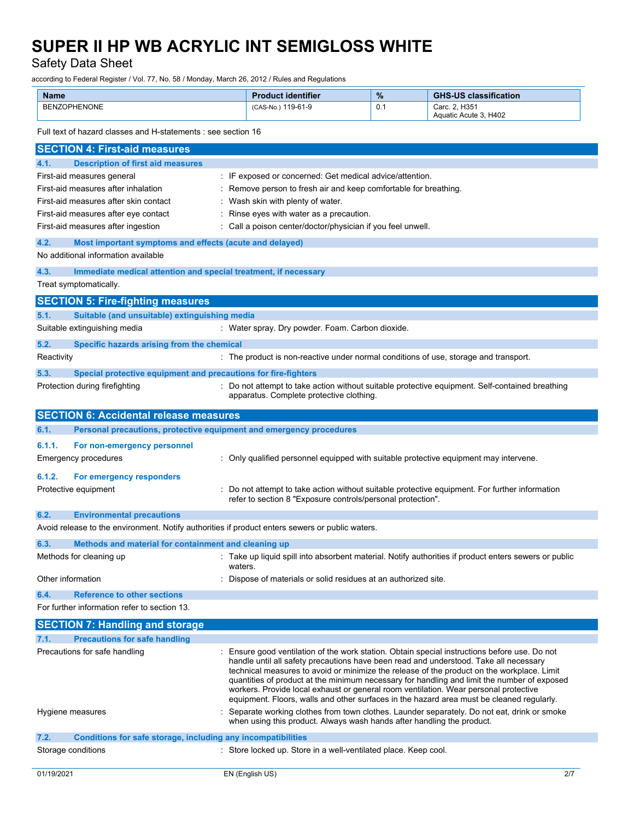Safety Data Sheet

according to Federal Register / Vol. 77, No. 58 / Monday, March 26, 2012 / Rules and Regulations

| <b>Name</b>  | <b>Product identifier</b> | $\%$ | <b>GHS-US classification</b>           |
|--------------|---------------------------|------|----------------------------------------|
| BENZOPHENONE | (CAS-No.) 119-61-9        | 0.1  | Carc. 2. H351<br>Aquatic Acute 3, H402 |

Full text of hazard classes and H-statements : see section 16

| <b>SECTION 4: First-aid measures</b>                                                            |                                                                                                                                                                                     |
|-------------------------------------------------------------------------------------------------|-------------------------------------------------------------------------------------------------------------------------------------------------------------------------------------|
| 4.1.<br><b>Description of first aid measures</b>                                                |                                                                                                                                                                                     |
| First-aid measures general                                                                      | : IF exposed or concerned: Get medical advice/attention.                                                                                                                            |
| First-aid measures after inhalation                                                             | : Remove person to fresh air and keep comfortable for breathing.                                                                                                                    |
| First-aid measures after skin contact                                                           | : Wash skin with plenty of water.                                                                                                                                                   |
| First-aid measures after eye contact                                                            | Rinse eyes with water as a precaution.                                                                                                                                              |
| First-aid measures after ingestion                                                              | : Call a poison center/doctor/physician if you feel unwell.                                                                                                                         |
| 4.2.<br>Most important symptoms and effects (acute and delayed)                                 |                                                                                                                                                                                     |
| No additional information available                                                             |                                                                                                                                                                                     |
| 4.3.<br>Immediate medical attention and special treatment, if necessary                         |                                                                                                                                                                                     |
| Treat symptomatically.                                                                          |                                                                                                                                                                                     |
| <b>SECTION 5: Fire-fighting measures</b>                                                        |                                                                                                                                                                                     |
| 5.1.<br>Suitable (and unsuitable) extinguishing media                                           |                                                                                                                                                                                     |
| Suitable extinguishing media                                                                    | : Water spray. Dry powder. Foam. Carbon dioxide.                                                                                                                                    |
| 5.2.<br>Specific hazards arising from the chemical                                              |                                                                                                                                                                                     |
| Reactivity                                                                                      | : The product is non-reactive under normal conditions of use, storage and transport.                                                                                                |
| Special protective equipment and precautions for fire-fighters<br>5.3.                          |                                                                                                                                                                                     |
| Protection during firefighting                                                                  | : Do not attempt to take action without suitable protective equipment. Self-contained breathing                                                                                     |
|                                                                                                 | apparatus. Complete protective clothing.                                                                                                                                            |
| <b>SECTION 6: Accidental release measures</b>                                                   |                                                                                                                                                                                     |
| 6.1.<br>Personal precautions, protective equipment and emergency procedures                     |                                                                                                                                                                                     |
| 6.1.1.<br>For non-emergency personnel                                                           |                                                                                                                                                                                     |
| Emergency procedures                                                                            | : Only qualified personnel equipped with suitable protective equipment may intervene.                                                                                               |
|                                                                                                 |                                                                                                                                                                                     |
| 6.1.2.<br>For emergency responders                                                              |                                                                                                                                                                                     |
| Protective equipment                                                                            | Do not attempt to take action without suitable protective equipment. For further information<br>refer to section 8 "Exposure controls/personal protection".                         |
| 6.2.<br><b>Environmental precautions</b>                                                        |                                                                                                                                                                                     |
| Avoid release to the environment. Notify authorities if product enters sewers or public waters. |                                                                                                                                                                                     |
| 6.3.<br>Methods and material for containment and cleaning up                                    |                                                                                                                                                                                     |
| Methods for cleaning up                                                                         | : Take up liquid spill into absorbent material. Notify authorities if product enters sewers or public                                                                               |
|                                                                                                 | waters.                                                                                                                                                                             |
| Other information                                                                               | Dispose of materials or solid residues at an authorized site.                                                                                                                       |
| 6.4.<br><b>Reference to other sections</b>                                                      |                                                                                                                                                                                     |
| For further information refer to section 13.                                                    |                                                                                                                                                                                     |
| <b>SECTION 7: Handling and storage</b>                                                          |                                                                                                                                                                                     |
| 7.1.<br><b>Precautions for safe handling</b>                                                    |                                                                                                                                                                                     |
| Precautions for safe handling                                                                   | : Ensure good ventilation of the work station. Obtain special instructions before use. Do not                                                                                       |
|                                                                                                 | handle until all safety precautions have been read and understood. Take all necessary<br>technical measures to avoid or minimize the release of the product on the workplace. Limit |
|                                                                                                 | quantities of product at the minimum necessary for handling and limit the number of exposed                                                                                         |
|                                                                                                 | workers. Provide local exhaust or general room ventilation. Wear personal protective                                                                                                |
|                                                                                                 | equipment. Floors, walls and other surfaces in the hazard area must be cleaned regularly.                                                                                           |
| Hygiene measures                                                                                | Separate working clothes from town clothes. Launder separately. Do not eat, drink or smoke<br>when using this product. Always wash hands after handling the product.                |
| 7.2.<br><b>Conditions for safe storage, including any incompatibilities</b>                     |                                                                                                                                                                                     |
| Storage conditions                                                                              | : Store locked up. Store in a well-ventilated place. Keep cool.                                                                                                                     |
|                                                                                                 |                                                                                                                                                                                     |
| 01/19/2021                                                                                      | EN (English US)<br>2/7                                                                                                                                                              |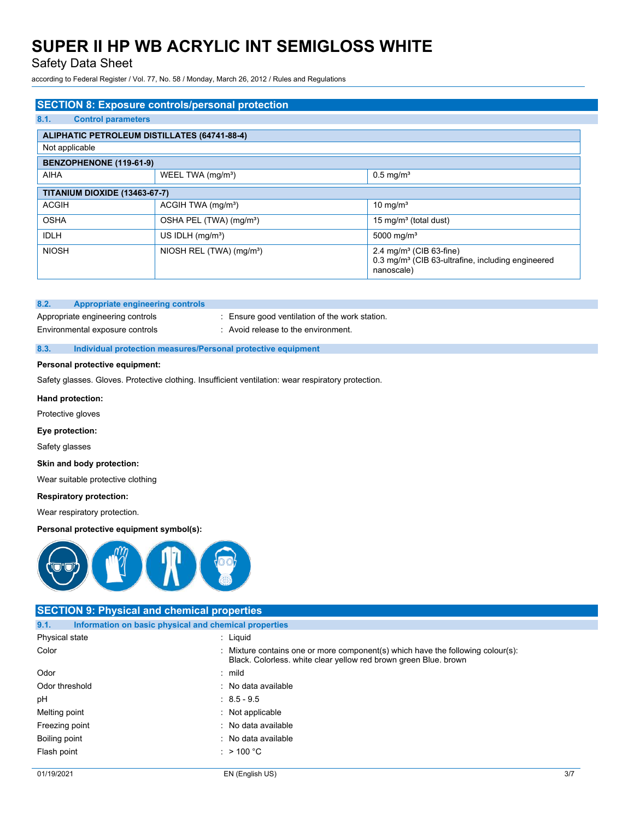## Safety Data Sheet

according to Federal Register / Vol. 77, No. 58 / Monday, March 26, 2012 / Rules and Regulations

| <b>SECTION 8: Exposure controls/personal protection</b> |                                                     |                                                                                                                    |  |  |  |
|---------------------------------------------------------|-----------------------------------------------------|--------------------------------------------------------------------------------------------------------------------|--|--|--|
| 8.1.<br><b>Control parameters</b>                       |                                                     |                                                                                                                    |  |  |  |
|                                                         | <b>ALIPHATIC PETROLEUM DISTILLATES (64741-88-4)</b> |                                                                                                                    |  |  |  |
| Not applicable                                          |                                                     |                                                                                                                    |  |  |  |
| BENZOPHENONE (119-61-9)                                 |                                                     |                                                                                                                    |  |  |  |
| <b>AIHA</b>                                             | WEEL TWA (mg/m <sup>3</sup> )                       | $0.5$ mg/m <sup>3</sup>                                                                                            |  |  |  |
| <b>TITANIUM DIOXIDE (13463-67-7)</b>                    |                                                     |                                                                                                                    |  |  |  |
| <b>ACGIH</b>                                            | ACGIH TWA (mg/m <sup>3</sup> )                      | 10 mg/m <sup>3</sup>                                                                                               |  |  |  |
| <b>OSHA</b>                                             | OSHA PEL (TWA) (mg/m <sup>3</sup> )                 | 15 mg/m <sup>3</sup> (total dust)                                                                                  |  |  |  |
| <b>IDLH</b>                                             | US IDLH $(mq/m3)$                                   | 5000 mg/m <sup>3</sup>                                                                                             |  |  |  |
| <b>NIOSH</b>                                            | NIOSH REL (TWA) (mg/m <sup>3</sup> )                | 2.4 mg/m <sup>3</sup> (CIB 63-fine)<br>0.3 mg/m <sup>3</sup> (CIB 63-ultrafine, including engineered<br>nanoscale) |  |  |  |

### **8.2. Appropriate engineering controls**

Environmental exposure controls : Avoid release to the environment.

Appropriate engineering controls : Ensure good ventilation of the work station.

### **8.3. Individual protection measures/Personal protective equipment**

### **Personal protective equipment:**

Safety glasses. Gloves. Protective clothing. Insufficient ventilation: wear respiratory protection.

### **Hand protection:**

Protective gloves

### **Eye protection:**

Safety glasses

### **Skin and body protection:**

Wear suitable protective clothing

### **Respiratory protection:**

Wear respiratory protection.

## **Personal protective equipment symbol(s):**



|                | <b>SECTION 9: Physical and chemical properties</b>    |                                                                                                                                                     |     |
|----------------|-------------------------------------------------------|-----------------------------------------------------------------------------------------------------------------------------------------------------|-----|
| 9.1.           | Information on basic physical and chemical properties |                                                                                                                                                     |     |
| Physical state |                                                       | : Liquid                                                                                                                                            |     |
| Color          |                                                       | : Mixture contains one or more component(s) which have the following colour(s):<br>Black. Colorless. white clear yellow red brown green Blue. brown |     |
| Odor           |                                                       | $:$ mild                                                                                                                                            |     |
| Odor threshold |                                                       | : No data available                                                                                                                                 |     |
| рH             |                                                       | $: 8.5 - 9.5$                                                                                                                                       |     |
| Melting point  |                                                       | $:$ Not applicable                                                                                                                                  |     |
| Freezing point |                                                       | : No data available                                                                                                                                 |     |
| Boiling point  |                                                       | : No data available                                                                                                                                 |     |
| Flash point    |                                                       | : $>$ 100 °C                                                                                                                                        |     |
| 01/19/2021     |                                                       | EN (English US)                                                                                                                                     | 3/7 |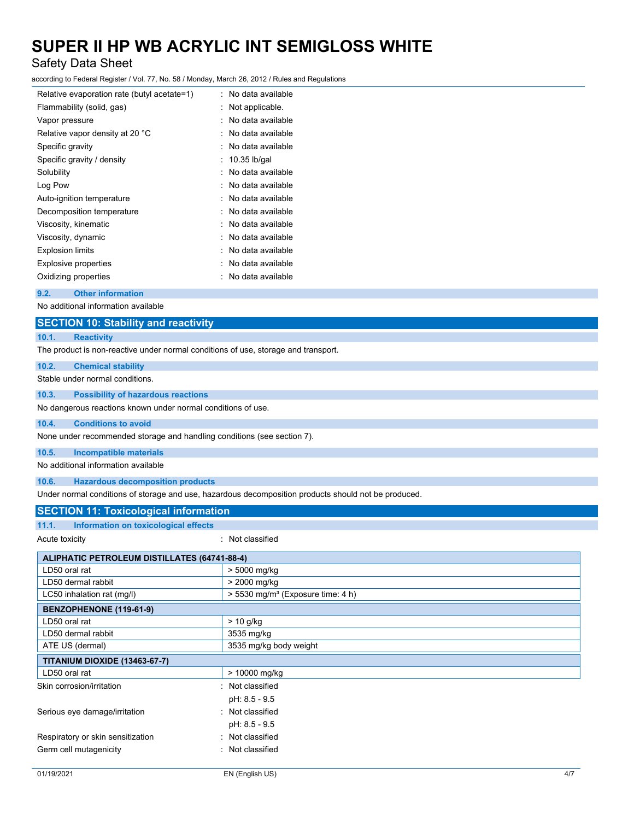## Safety Data Sheet

according to Federal Register / Vol. 77, No. 58 / Monday, March 26, 2012 / Rules and Regulations

| Relative evaporation rate (butyl acetate=1) | : No data available |
|---------------------------------------------|---------------------|
| Flammability (solid, gas)                   | Not applicable.     |
| Vapor pressure                              | No data available   |
| Relative vapor density at 20 °C             | No data available   |
| Specific gravity                            | : No data available |
| Specific gravity / density                  | 10.35 lb/gal        |
| Solubility                                  | No data available   |
| Log Pow                                     | No data available   |
| Auto-ignition temperature                   | No data available   |
| Decomposition temperature                   | No data available   |
| Viscosity, kinematic                        | No data available   |
| Viscosity, dynamic                          | No data available   |
| <b>Explosion limits</b>                     | : No data available |
| <b>Explosive properties</b>                 | No data available   |
| Oxidizing properties                        | No data available   |
|                                             |                     |

### **9.2. Other information**

No additional information available

## **SECTION 10: Stability and reactivity**

**10.1. Reactivity**

The product is non-reactive under normal conditions of use, storage and transport.

### **10.2. Chemical stability**

Stable under normal conditions.

### **10.3. Possibility of hazardous reactions**

No dangerous reactions known under normal conditions of use.

#### **10.4. Conditions to avoid**

None under recommended storage and handling conditions (see section 7).

#### **10.5. Incompatible materials**

No additional information available

### **10.6. Hazardous decomposition products**

Under normal conditions of storage and use, hazardous decomposition products should not be produced.

## **SECTION 11: Toxicological information**

| 11.1.<br>Information on toxicological effects |  |
|-----------------------------------------------|--|
|-----------------------------------------------|--|

: Not classified

| <b>ALIPHATIC PETROLEUM DISTILLATES (64741-88-4)</b> |                                                 |  |
|-----------------------------------------------------|-------------------------------------------------|--|
| LD50 oral rat                                       | > 5000 mg/kg                                    |  |
| LD50 dermal rabbit                                  | > 2000 mg/kg                                    |  |
| LC50 inhalation rat (mg/l)                          | $> 5530$ mg/m <sup>3</sup> (Exposure time: 4 h) |  |
| BENZOPHENONE (119-61-9)                             |                                                 |  |
| LD50 oral rat                                       | $> 10$ g/kg                                     |  |
| LD50 dermal rabbit                                  | 3535 mg/kg                                      |  |
| ATE US (dermal)                                     | 3535 mg/kg body weight                          |  |
| <b>TITANIUM DIOXIDE (13463-67-7)</b>                |                                                 |  |
| LD50 oral rat                                       | > 10000 mg/kg                                   |  |
| Skin corrosion/irritation                           | : Not classified                                |  |
|                                                     | pH: 8.5 - 9.5                                   |  |
| Serious eye damage/irritation                       | : Not classified                                |  |
|                                                     | pH: 8.5 - 9.5                                   |  |
| Respiratory or skin sensitization                   | : Not classified                                |  |
| Germ cell mutagenicity                              | : Not classified                                |  |
|                                                     |                                                 |  |
| 01/19/2021                                          | EN (English US)<br>4/7                          |  |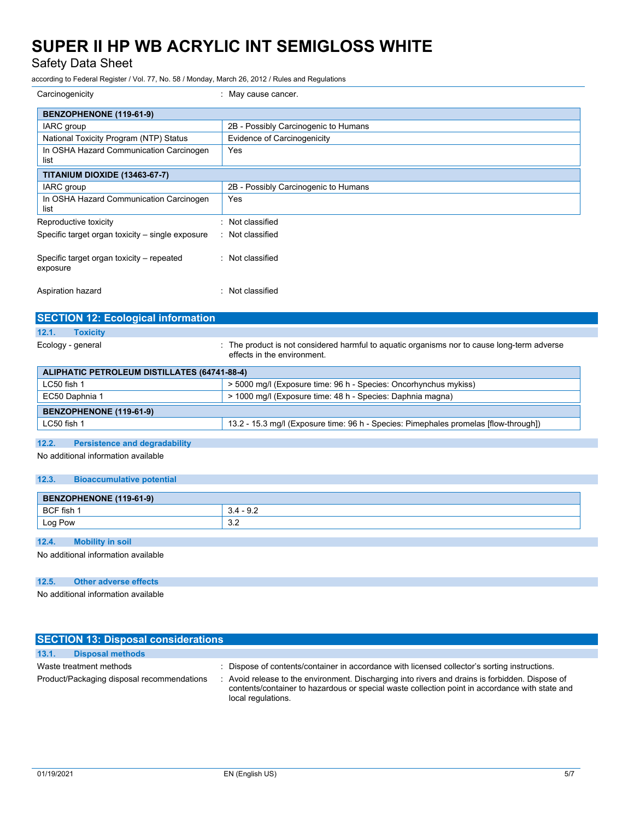Safety Data Sheet

according to Federal Register / Vol. 77, No. 58 / Monday, March 26, 2012 / Rules and Regulations

| Carcinogenicity                                       | : May cause cancer.                  |
|-------------------------------------------------------|--------------------------------------|
| BENZOPHENONE (119-61-9)                               |                                      |
| IARC group                                            | 2B - Possibly Carcinogenic to Humans |
| National Toxicity Program (NTP) Status                | Evidence of Carcinogenicity          |
| In OSHA Hazard Communication Carcinogen<br>list       | Yes                                  |
| <b>TITANIUM DIOXIDE (13463-67-7)</b>                  |                                      |
| IARC group                                            | 2B - Possibly Carcinogenic to Humans |
| In OSHA Hazard Communication Carcinogen<br>list       | Yes                                  |
| Reproductive toxicity                                 | Not classified<br>۰                  |
| Specific target organ toxicity – single exposure      | : Not classified                     |
| Specific target organ toxicity – repeated<br>exposure | : Not classified                     |
| Aspiration hazard                                     | Not classified<br>٠                  |
|                                                       |                                      |

| <b>SECTION 12: ECOlogical Information</b>    |                                                                                                                            |
|----------------------------------------------|----------------------------------------------------------------------------------------------------------------------------|
| 12.1.<br><b>Toxicity</b>                     |                                                                                                                            |
| Ecology - general                            | : The product is not considered harmful to aquatic organisms nor to cause long-term adverse<br>effects in the environment. |
| ALIPHATIC PETROLEUM DISTILLATES (64741-88-4) |                                                                                                                            |
| LC50 fish 1                                  | > 5000 mg/l (Exposure time: 96 h - Species: Oncorhynchus mykiss)                                                           |
| EC50 Daphnia 1                               | > 1000 mg/l (Exposure time: 48 h - Species: Daphnia magna)                                                                 |
| BENZOPHENONE (119-61-9)                      |                                                                                                                            |

LC50 fish 1 13.2 - 15.3 mg/l (Exposure time: 96 h - Species: Pimephales promelas [flow-through])

| 12.2. | <b>Persistence and degradability</b> |  |
|-------|--------------------------------------|--|
|       |                                      |  |

No additional information available

### **12.3. Bioaccumulative potential**

| BENZOPHENONE (119-61-9) |                   |
|-------------------------|-------------------|
| BCF fish                | <u>ດ ຕ</u><br>J.Z |
| Log Pow                 | $\sim$<br>ے.د     |

## **12.4. Mobility in soil**

No additional information available

## **12.5. Other adverse effects**

No additional information available

| <b>SECTION 13: Disposal considerations</b> |                                                                                                                                                                                                                         |  |  |  |
|--------------------------------------------|-------------------------------------------------------------------------------------------------------------------------------------------------------------------------------------------------------------------------|--|--|--|
| 13.1.<br><b>Disposal methods</b>           |                                                                                                                                                                                                                         |  |  |  |
| Waste treatment methods                    | : Dispose of contents/container in accordance with licensed collector's sorting instructions.                                                                                                                           |  |  |  |
| Product/Packaging disposal recommendations | : Avoid release to the environment. Discharging into rivers and drains is forbidden. Dispose of<br>contents/container to hazardous or special waste collection point in accordance with state and<br>local regulations. |  |  |  |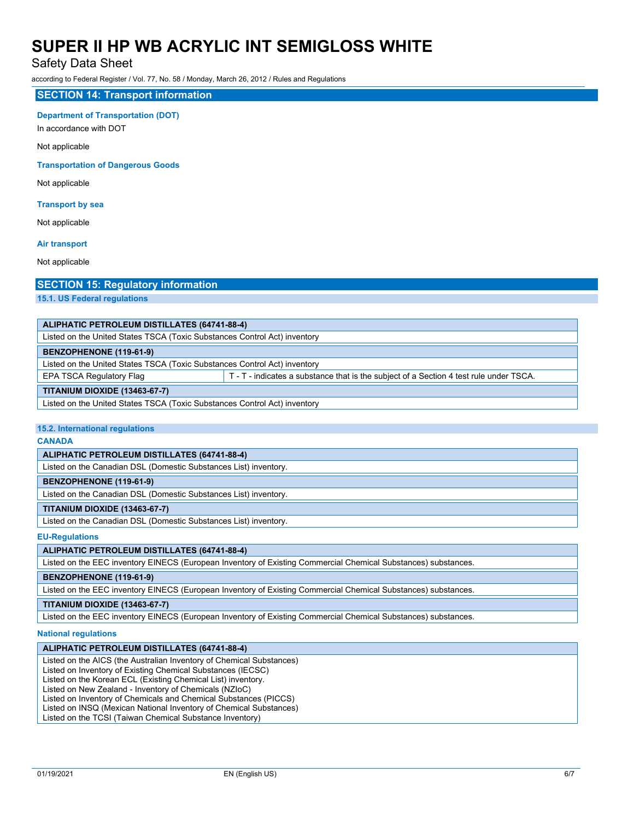## Safety Data Sheet

according to Federal Register / Vol. 77, No. 58 / Monday, March 26, 2012 / Rules and Regulations

### **SECTION 14: Transport information**

### **Department of Transportation (DOT)**

In accordance with DOT

Not applicable

### **Transportation of Dangerous Goods**

Not applicable

### **Transport by sea**

Not applicable

### **Air transport**

Not applicable

## **SECTION 15: Regulatory information**

**15.1. US Federal regulations**

| ALIPHATIC PETROLEUM DISTILLATES (64741-88-4)                              |                                                                                        |  |
|---------------------------------------------------------------------------|----------------------------------------------------------------------------------------|--|
| Listed on the United States TSCA (Toxic Substances Control Act) inventory |                                                                                        |  |
| BENZOPHENONE (119-61-9)                                                   |                                                                                        |  |
| Listed on the United States TSCA (Toxic Substances Control Act) inventory |                                                                                        |  |
| EPA TSCA Regulatory Flag                                                  | T - T - indicates a substance that is the subject of a Section 4 test rule under TSCA. |  |
| <b>TITANIUM DIOXIDE (13463-67-7)</b>                                      |                                                                                        |  |
| Listed on the United States TSCA (Toxic Substances Control Act) inventory |                                                                                        |  |

### **15.2. International regulations**

#### **CANADA**

### **ALIPHATIC PETROLEUM DISTILLATES (64741-88-4)**

Listed on the Canadian DSL (Domestic Substances List) inventory.

### **BENZOPHENONE (119-61-9)**

Listed on the Canadian DSL (Domestic Substances List) inventory.

### **TITANIUM DIOXIDE (13463-67-7)**

Listed on the Canadian DSL (Domestic Substances List) inventory.

### **EU-Regulations**

### **ALIPHATIC PETROLEUM DISTILLATES (64741-88-4)**

Listed on the EEC inventory EINECS (European Inventory of Existing Commercial Chemical Substances) substances.

## **BENZOPHENONE (119-61-9)**

Listed on the EEC inventory EINECS (European Inventory of Existing Commercial Chemical Substances) substances.

## **TITANIUM DIOXIDE (13463-67-7)**

Listed on the EEC inventory EINECS (European Inventory of Existing Commercial Chemical Substances) substances.

### **National regulations**

### **ALIPHATIC PETROLEUM DISTILLATES (64741-88-4)**

Listed on the AICS (the Australian Inventory of Chemical Substances)

Listed on Inventory of Existing Chemical Substances (IECSC)

Listed on the Korean ECL (Existing Chemical List) inventory.

Listed on New Zealand - Inventory of Chemicals (NZIoC)

Listed on Inventory of Chemicals and Chemical Substances (PICCS)

Listed on INSQ (Mexican National Inventory of Chemical Substances)

Listed on the TCSI (Taiwan Chemical Substance Inventory)